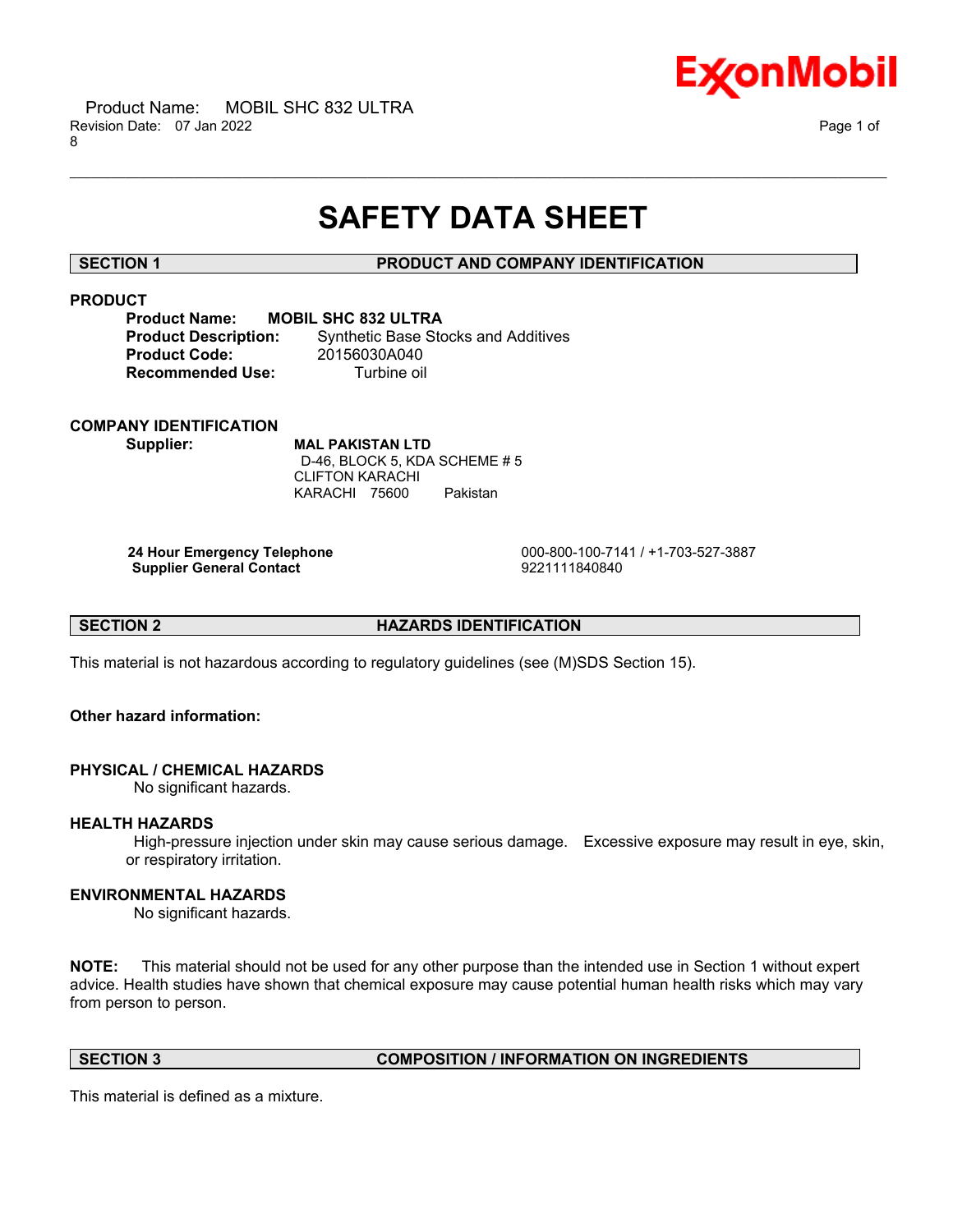

## **SAFETY DATA SHEET**

\_\_\_\_\_\_\_\_\_\_\_\_\_\_\_\_\_\_\_\_\_\_\_\_\_\_\_\_\_\_\_\_\_\_\_\_\_\_\_\_\_\_\_\_\_\_\_\_\_\_\_\_\_\_\_\_\_\_\_\_\_\_\_\_\_\_\_\_\_\_\_\_\_\_\_\_\_\_\_\_\_\_\_\_\_\_\_\_\_\_\_\_\_\_\_\_\_\_\_\_\_\_\_\_\_\_\_\_\_\_\_\_\_\_\_\_\_\_

#### **SECTION 1 PRODUCT AND COMPANY IDENTIFICATION**

### **PRODUCT**

**Product Name: MOBIL SHC 832 ULTRA Product Code:** 20156030A040 **Recommended Use:** Turbine oil

**Product Description:** Synthetic Base Stocks and Additives

### **COMPANY IDENTIFICATION**

**Supplier: MAL PAKISTAN LTD** D-46, BLOCK 5, KDA SCHEME # 5 CLIFTON KARACHI KARACHI 75600 Pakistan

**Supplier General Contact** 

**24 Hour Emergency Telephone** 000-800-100-7141 / +1-703-527-3887

**SECTION 2 HAZARDS IDENTIFICATION**

This material is not hazardous according to regulatory guidelines (see (M)SDS Section 15).

#### **Other hazard information:**

### **PHYSICAL / CHEMICAL HAZARDS**

No significant hazards.

#### **HEALTH HAZARDS**

High-pressure injection under skin may cause serious damage. Excessive exposure may result in eye, skin, or respiratory irritation.

#### **ENVIRONMENTAL HAZARDS**

No significant hazards.

**NOTE:** This material should not be used for any other purpose than the intended use in Section 1 without expert advice. Health studies have shown that chemical exposure may cause potential human health risks which may vary from person to person.

#### **SECTION 3 COMPOSITION / INFORMATION ON INGREDIENTS**

This material is defined as a mixture.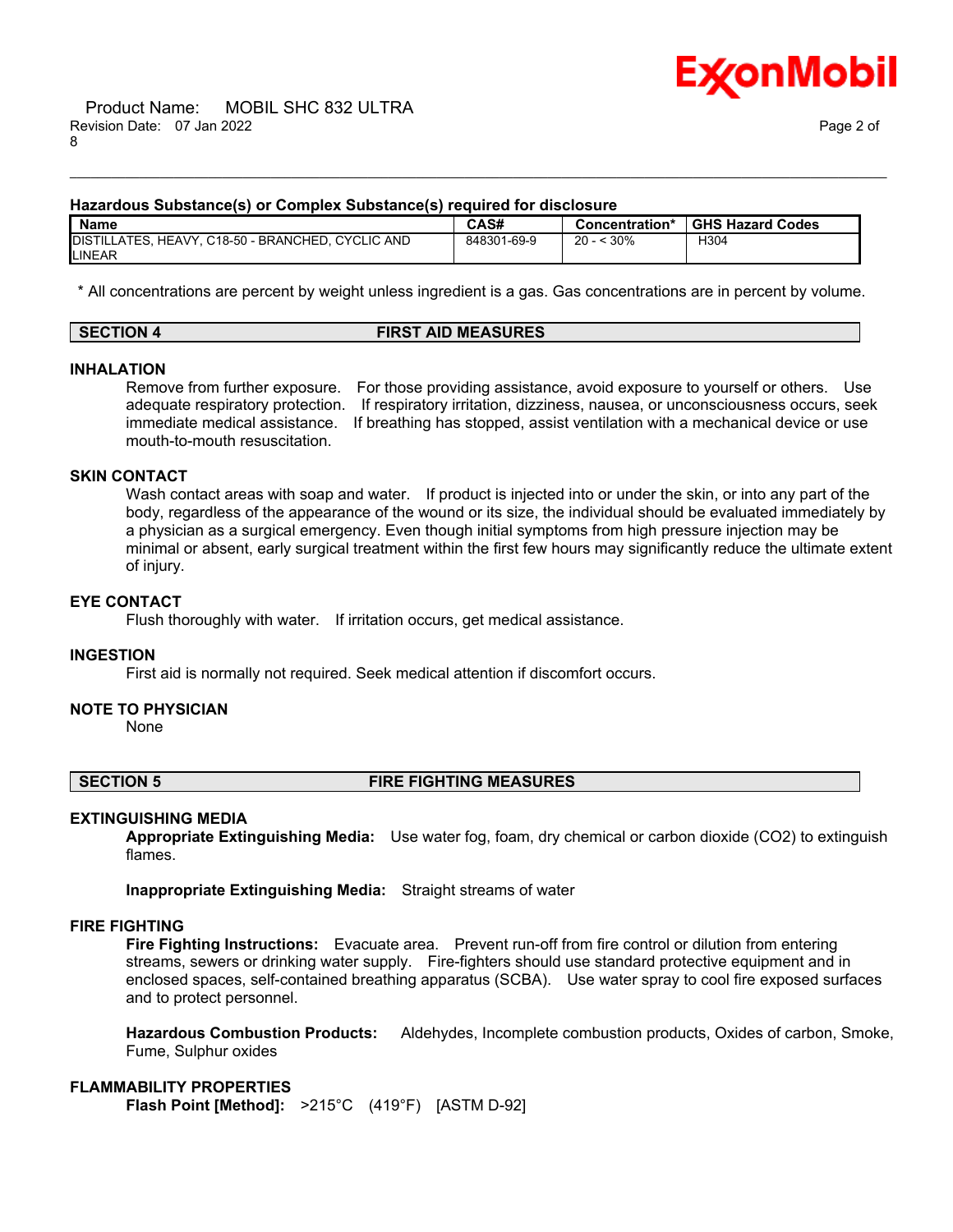

#### **Hazardous Substance(s) or Complex Substance(s) required for disclosure**

| <b>Name</b>                                                        | CAS#        | Concentration*    | <b>GHS Hazard Codes</b> |
|--------------------------------------------------------------------|-------------|-------------------|-------------------------|
| DISTILLATES, HEAVY, C18-50 - BRANCHED, CYCLIC AND<br><b>LINEAR</b> | 848301-69-9 | $\leq 30\%$<br>20 | H304                    |

\_\_\_\_\_\_\_\_\_\_\_\_\_\_\_\_\_\_\_\_\_\_\_\_\_\_\_\_\_\_\_\_\_\_\_\_\_\_\_\_\_\_\_\_\_\_\_\_\_\_\_\_\_\_\_\_\_\_\_\_\_\_\_\_\_\_\_\_\_\_\_\_\_\_\_\_\_\_\_\_\_\_\_\_\_\_\_\_\_\_\_\_\_\_\_\_\_\_\_\_\_\_\_\_\_\_\_\_\_\_\_\_\_\_\_\_\_\_

\* All concentrations are percent by weight unless ingredient is a gas. Gas concentrations are in percent by volume.

| <b>FIRST AID MEASURES</b><br>SECTION 4 |
|----------------------------------------|
|----------------------------------------|

#### **INHALATION**

Remove from further exposure. For those providing assistance, avoid exposure to yourself or others. Use adequate respiratory protection. If respiratory irritation, dizziness, nausea, or unconsciousness occurs, seek immediate medical assistance. If breathing has stopped, assist ventilation with a mechanical device or use mouth-to-mouth resuscitation.

#### **SKIN CONTACT**

Wash contact areas with soap and water. If product is injected into or under the skin, or into any part of the body, regardless of the appearance of the wound or its size, the individual should be evaluated immediately by a physician as a surgical emergency. Even though initial symptoms from high pressure injection may be minimal or absent, early surgical treatment within the first few hours may significantly reduce the ultimate extent of injury.

### **EYE CONTACT**

Flush thoroughly with water. If irritation occurs, get medical assistance.

#### **INGESTION**

First aid is normally not required. Seek medical attention if discomfort occurs.

#### **NOTE TO PHYSICIAN**

None

#### **SECTION 5 FIRE FIGHTING MEASURES**

#### **EXTINGUISHING MEDIA**

**Appropriate Extinguishing Media:** Use water fog, foam, dry chemical or carbon dioxide (CO2) to extinguish flames.

**Inappropriate Extinguishing Media:** Straight streams of water

### **FIRE FIGHTING**

**Fire Fighting Instructions:** Evacuate area. Prevent run-off from fire control or dilution from entering streams, sewers or drinking water supply. Fire-fighters should use standard protective equipment and in enclosed spaces, self-contained breathing apparatus (SCBA). Use water spray to cool fire exposed surfaces and to protect personnel.

**Hazardous Combustion Products:** Aldehydes, Incomplete combustion products, Oxides of carbon, Smoke, Fume, Sulphur oxides

#### **FLAMMABILITY PROPERTIES**

**Flash Point [Method]:** >215°C (419°F) [ASTM D-92]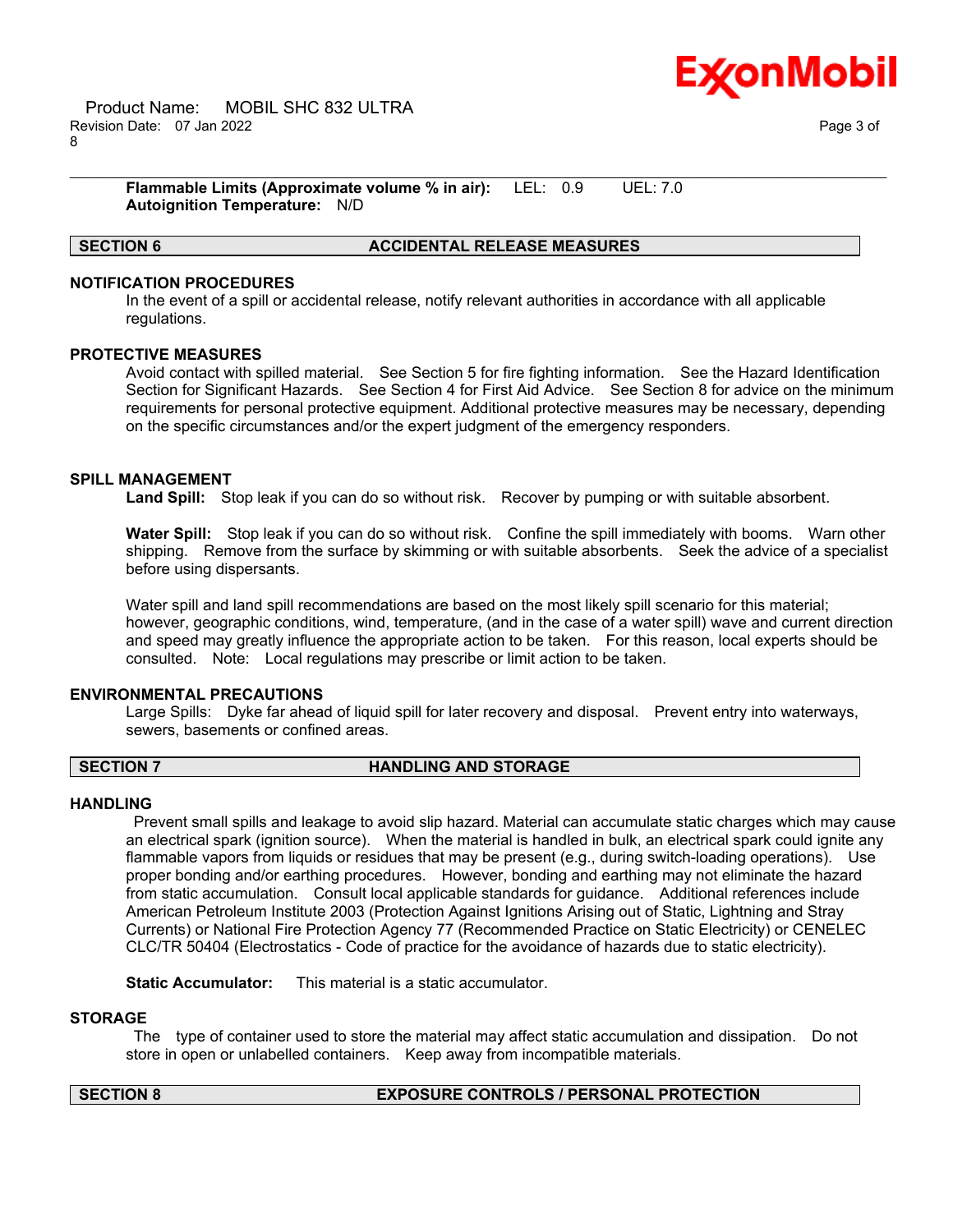

\_\_\_\_\_\_\_\_\_\_\_\_\_\_\_\_\_\_\_\_\_\_\_\_\_\_\_\_\_\_\_\_\_\_\_\_\_\_\_\_\_\_\_\_\_\_\_\_\_\_\_\_\_\_\_\_\_\_\_\_\_\_\_\_\_\_\_\_\_\_\_\_\_\_\_\_\_\_\_\_\_\_\_\_\_\_\_\_\_\_\_\_\_\_\_\_\_\_\_\_\_\_\_\_\_\_\_\_\_\_\_\_\_\_\_\_\_\_ **Flammable Limits (Approximate volume % in air):** LEL: 0.9 UEL: 7.0 **Autoignition Temperature:** N/D

### **SECTION 6 ACCIDENTAL RELEASE MEASURES**

### **NOTIFICATION PROCEDURES**

In the event of a spill or accidental release, notify relevant authorities in accordance with all applicable regulations.

#### **PROTECTIVE MEASURES**

Avoid contact with spilled material. See Section 5 for fire fighting information. See the Hazard Identification Section for Significant Hazards. See Section 4 for First Aid Advice. See Section 8 for advice on the minimum requirements for personal protective equipment. Additional protective measures may be necessary, depending on the specific circumstances and/or the expert judgment of the emergency responders.

#### **SPILL MANAGEMENT**

**Land Spill:** Stop leak if you can do so without risk. Recover by pumping or with suitable absorbent.

**Water Spill:** Stop leak if you can do so without risk. Confine the spill immediately with booms. Warn other shipping. Remove from the surface by skimming or with suitable absorbents. Seek the advice of a specialist before using dispersants.

Water spill and land spill recommendations are based on the most likely spill scenario for this material; however, geographic conditions, wind, temperature, (and in the case of a water spill) wave and current direction and speed may greatly influence the appropriate action to be taken. For this reason, local experts should be consulted. Note: Local regulations may prescribe or limit action to be taken.

#### **ENVIRONMENTAL PRECAUTIONS**

Large Spills: Dyke far ahead of liquid spill for later recovery and disposal. Prevent entry into waterways, sewers, basements or confined areas.

#### **SECTION 7 HANDLING AND STORAGE**

#### **HANDLING**

Prevent small spills and leakage to avoid slip hazard. Material can accumulate static charges which may cause an electrical spark (ignition source). When the material is handled in bulk, an electrical spark could ignite any flammable vapors from liquids or residues that may be present (e.g., during switch-loading operations). Use proper bonding and/or earthing procedures. However, bonding and earthing may not eliminate the hazard from static accumulation. Consult local applicable standards for guidance. Additional references include American Petroleum Institute 2003 (Protection Against Ignitions Arising out of Static, Lightning and Stray Currents) or National Fire Protection Agency 77 (Recommended Practice on Static Electricity) or CENELEC CLC/TR 50404 (Electrostatics - Code of practice for the avoidance of hazards due to static electricity).

**Static Accumulator:** This material is a static accumulator.

#### **STORAGE**

The type of container used to store the material may affect static accumulation and dissipation. Do not store in open or unlabelled containers. Keep away from incompatible materials.

#### **SECTION 8 EXPOSURE CONTROLS / PERSONAL PROTECTION**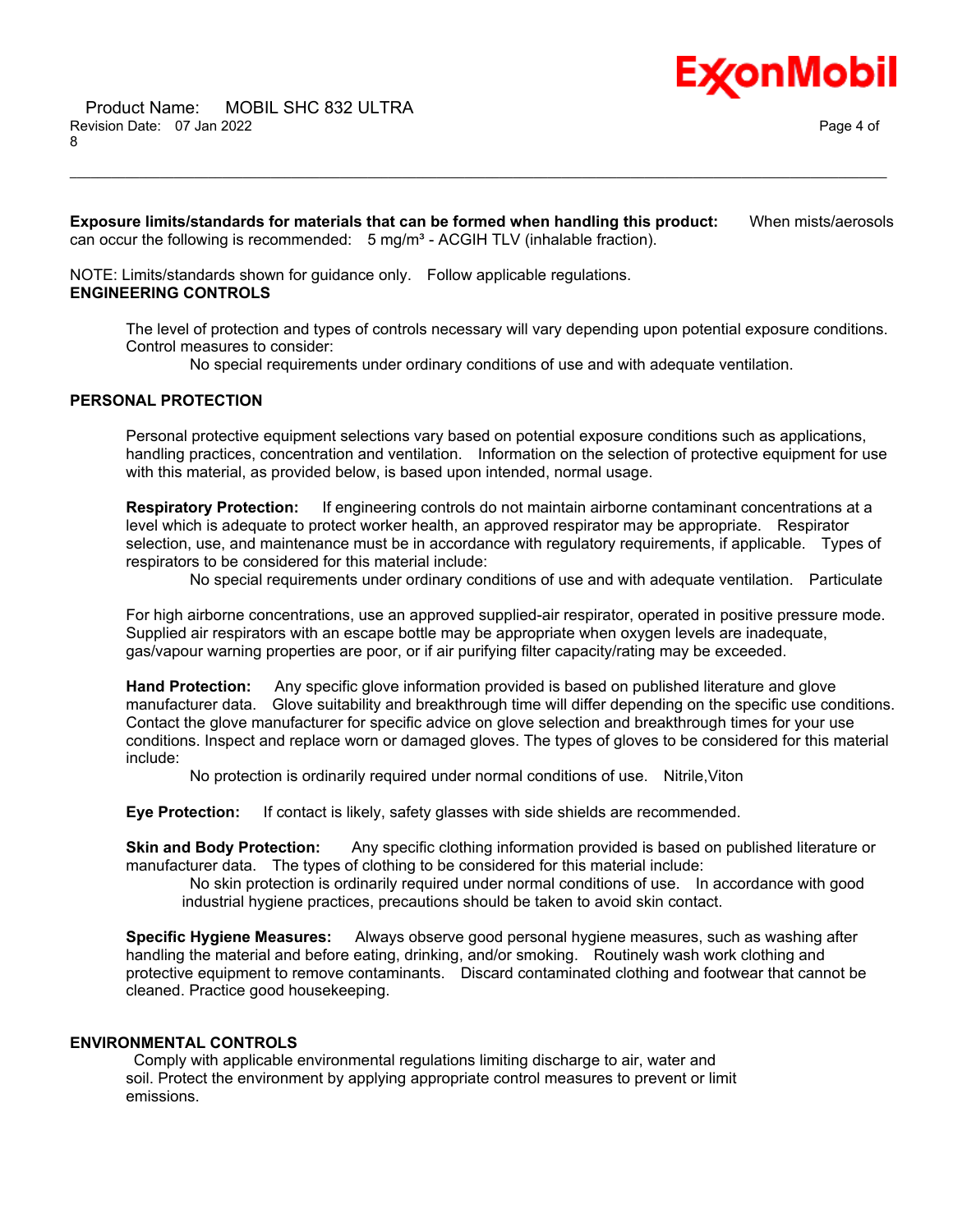

 Product Name: MOBIL SHC 832 ULTRA Revision Date: 07 Jan 2022 Page 4 of 8

**Exposure limits/standards for materials that can be formed when handling this product:** When mists/aerosols can occur the following is recommended: 5 mg/m<sup>3</sup> - ACGIH TLV (inhalable fraction).

\_\_\_\_\_\_\_\_\_\_\_\_\_\_\_\_\_\_\_\_\_\_\_\_\_\_\_\_\_\_\_\_\_\_\_\_\_\_\_\_\_\_\_\_\_\_\_\_\_\_\_\_\_\_\_\_\_\_\_\_\_\_\_\_\_\_\_\_\_\_\_\_\_\_\_\_\_\_\_\_\_\_\_\_\_\_\_\_\_\_\_\_\_\_\_\_\_\_\_\_\_\_\_\_\_\_\_\_\_\_\_\_\_\_\_\_\_\_

NOTE: Limits/standards shown for guidance only. Follow applicable regulations. **ENGINEERING CONTROLS**

The level of protection and types of controls necessary will vary depending upon potential exposure conditions. Control measures to consider:

No special requirements under ordinary conditions of use and with adequate ventilation.

#### **PERSONAL PROTECTION**

Personal protective equipment selections vary based on potential exposure conditions such as applications, handling practices, concentration and ventilation. Information on the selection of protective equipment for use with this material, as provided below, is based upon intended, normal usage.

**Respiratory Protection:** If engineering controls do not maintain airborne contaminant concentrations at a level which is adequate to protect worker health, an approved respirator may be appropriate. Respirator selection, use, and maintenance must be in accordance with regulatory requirements, if applicable. Types of respirators to be considered for this material include:

No special requirements under ordinary conditions of use and with adequate ventilation. Particulate

For high airborne concentrations, use an approved supplied-air respirator, operated in positive pressure mode. Supplied air respirators with an escape bottle may be appropriate when oxygen levels are inadequate, gas/vapour warning properties are poor, or if air purifying filter capacity/rating may be exceeded.

**Hand Protection:** Any specific glove information provided is based on published literature and glove manufacturer data. Glove suitability and breakthrough time will differ depending on the specific use conditions. Contact the glove manufacturer for specific advice on glove selection and breakthrough times for your use conditions. Inspect and replace worn or damaged gloves. The types of gloves to be considered for this material include:

No protection is ordinarily required under normal conditions of use. Nitrile,Viton

**Eye Protection:** If contact is likely, safety glasses with side shields are recommended.

**Skin and Body Protection:** Any specific clothing information provided is based on published literature or manufacturer data. The types of clothing to be considered for this material include:

No skin protection is ordinarily required under normal conditions of use. In accordance with good industrial hygiene practices, precautions should be taken to avoid skin contact.

**Specific Hygiene Measures:** Always observe good personal hygiene measures, such as washing after handling the material and before eating, drinking, and/or smoking. Routinely wash work clothing and protective equipment to remove contaminants. Discard contaminated clothing and footwear that cannot be cleaned. Practice good housekeeping.

#### **ENVIRONMENTAL CONTROLS**

Comply with applicable environmental regulations limiting discharge to air, water and soil. Protect the environment by applying appropriate control measures to prevent or limit emissions.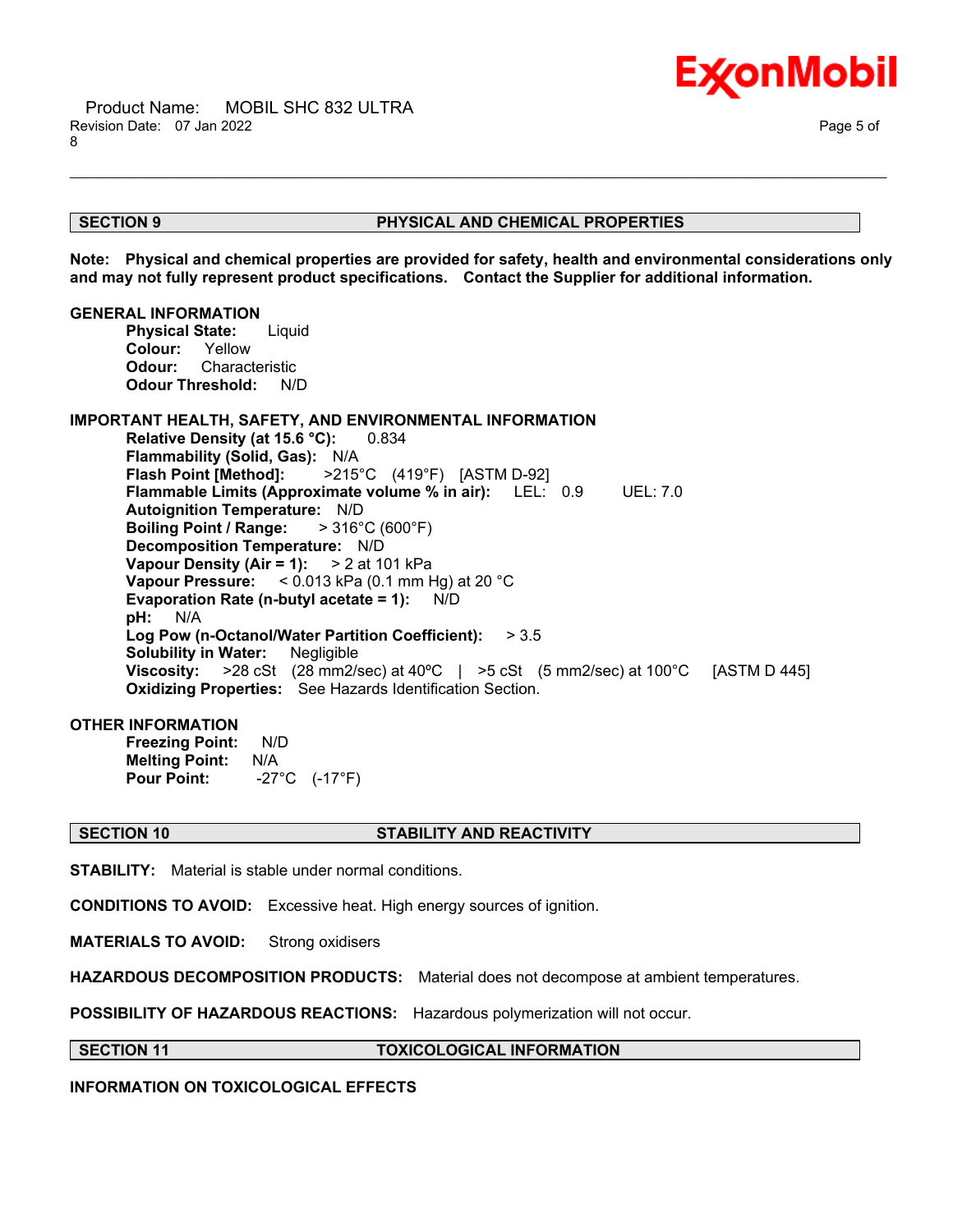

#### **SECTION 9 PHYSICAL AND CHEMICAL PROPERTIES**

**Note: Physical and chemical properties are provided for safety, health and environmental considerations only and may not fully represent product specifications. Contact the Supplier for additional information.**

\_\_\_\_\_\_\_\_\_\_\_\_\_\_\_\_\_\_\_\_\_\_\_\_\_\_\_\_\_\_\_\_\_\_\_\_\_\_\_\_\_\_\_\_\_\_\_\_\_\_\_\_\_\_\_\_\_\_\_\_\_\_\_\_\_\_\_\_\_\_\_\_\_\_\_\_\_\_\_\_\_\_\_\_\_\_\_\_\_\_\_\_\_\_\_\_\_\_\_\_\_\_\_\_\_\_\_\_\_\_\_\_\_\_\_\_\_\_

#### **GENERAL INFORMATION**

**Physical State:** Liquid **Colour:** Yellow **Odour:** Characteristic **Odour Threshold:** N/D

#### **IMPORTANT HEALTH, SAFETY, AND ENVIRONMENTAL INFORMATION**

**Relative Density (at 15.6 °C):** 0.834 **Flammability (Solid, Gas):** N/A **Flash Point [Method]:** >215°C (419°F) [ASTM D-92] **Flammable Limits (Approximate volume % in air):** LEL: 0.9 UEL: 7.0 **Autoignition Temperature:** N/D **Boiling Point / Range:** > 316°C (600°F) **Decomposition Temperature:** N/D **Vapour Density (Air = 1):** > 2 at 101 kPa **Vapour Pressure:** < 0.013 kPa (0.1 mm Hg) at 20 °C **Evaporation Rate (n-butyl acetate = 1):** N/D **pH:** N/A **Log Pow (n-Octanol/Water Partition Coefficient):** > 3.5 **Solubility in Water:** Negligible **Viscosity:** >28 cSt (28 mm2/sec) at 40ºC | >5 cSt (5 mm2/sec) at 100°C [ASTM D 445] **Oxidizing Properties:** See Hazards Identification Section.

#### **OTHER INFORMATION**

**Freezing Point:** N/D **Melting Point: N/A<br>Pour Point: -27 Pour Point:** -27°C (-17°F)

#### **SECTION 10 STABILITY AND REACTIVITY**

**STABILITY:** Material is stable under normal conditions.

**CONDITIONS TO AVOID:** Excessive heat. High energy sources of ignition.

**MATERIALS TO AVOID:** Strong oxidisers

**HAZARDOUS DECOMPOSITION PRODUCTS:** Material does not decompose at ambient temperatures.

**POSSIBILITY OF HAZARDOUS REACTIONS:** Hazardous polymerization will not occur.

**SECTION 11 TOXICOLOGICAL INFORMATION**

**INFORMATION ON TOXICOLOGICAL EFFECTS**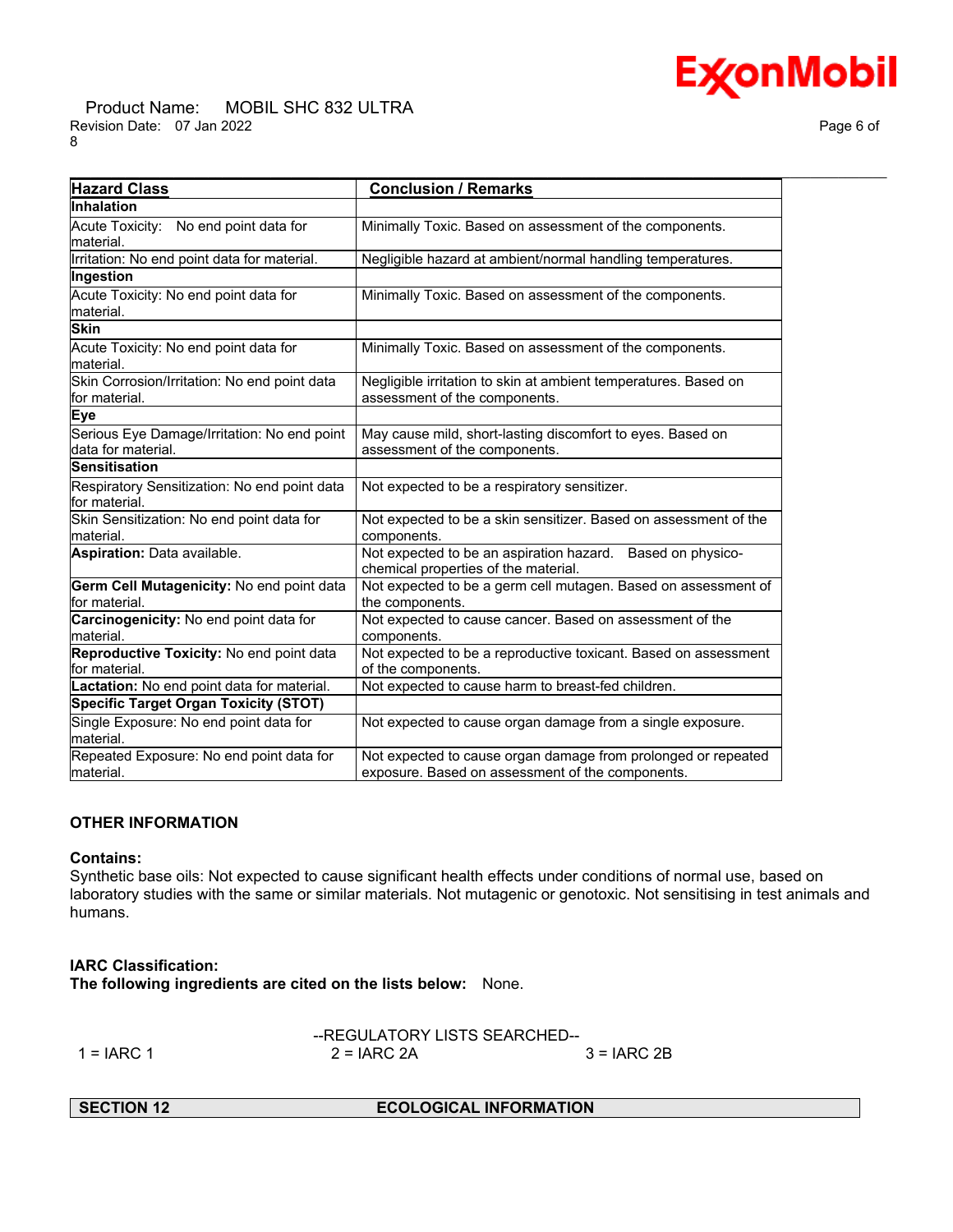# **ExconMobil**

#### Product Name: MOBIL SHC 832 ULTRA Revision Date: 07 Jan 2022 Page 6 of 8

| <b>Hazard Class</b>                                                | <b>Conclusion / Remarks</b>                                                                                       |  |  |  |  |
|--------------------------------------------------------------------|-------------------------------------------------------------------------------------------------------------------|--|--|--|--|
| <b>Inhalation</b>                                                  |                                                                                                                   |  |  |  |  |
| Acute Toxicity: No end point data for<br>material.                 | Minimally Toxic. Based on assessment of the components.                                                           |  |  |  |  |
| Irritation: No end point data for material.                        | Negligible hazard at ambient/normal handling temperatures.                                                        |  |  |  |  |
| Ingestion                                                          |                                                                                                                   |  |  |  |  |
| Acute Toxicity: No end point data for<br>lmaterial.                | Minimally Toxic. Based on assessment of the components.                                                           |  |  |  |  |
| <b>Skin</b>                                                        |                                                                                                                   |  |  |  |  |
| Acute Toxicity: No end point data for<br>lmaterial.                | Minimally Toxic. Based on assessment of the components.                                                           |  |  |  |  |
| Skin Corrosion/Irritation: No end point data<br>for material.      | Negligible irritation to skin at ambient temperatures. Based on<br>assessment of the components.                  |  |  |  |  |
| Eye                                                                |                                                                                                                   |  |  |  |  |
| Serious Eye Damage/Irritation: No end point<br>ldata for material. | May cause mild, short-lasting discomfort to eyes. Based on<br>assessment of the components.                       |  |  |  |  |
| Sensitisation                                                      |                                                                                                                   |  |  |  |  |
| Respiratory Sensitization: No end point data<br>for material.      | Not expected to be a respiratory sensitizer.                                                                      |  |  |  |  |
| Skin Sensitization: No end point data for<br>material.             | Not expected to be a skin sensitizer. Based on assessment of the<br>components.                                   |  |  |  |  |
| Aspiration: Data available.                                        | Not expected to be an aspiration hazard. Based on physico-<br>chemical properties of the material.                |  |  |  |  |
| Germ Cell Mutagenicity: No end point data<br>for material.         | Not expected to be a germ cell mutagen. Based on assessment of<br>the components.                                 |  |  |  |  |
| Carcinogenicity: No end point data for<br>lmaterial.               | Not expected to cause cancer. Based on assessment of the<br>components.                                           |  |  |  |  |
| Reproductive Toxicity: No end point data<br>for material.          | Not expected to be a reproductive toxicant. Based on assessment<br>of the components.                             |  |  |  |  |
| Lactation: No end point data for material.                         | Not expected to cause harm to breast-fed children.                                                                |  |  |  |  |
| Specific Target Organ Toxicity (STOT)                              |                                                                                                                   |  |  |  |  |
| Single Exposure: No end point data for<br>lmaterial.               | Not expected to cause organ damage from a single exposure.                                                        |  |  |  |  |
| Repeated Exposure: No end point data for<br>material.              | Not expected to cause organ damage from prolonged or repeated<br>exposure. Based on assessment of the components. |  |  |  |  |

### **OTHER INFORMATION**

#### **Contains:**

Synthetic base oils: Not expected to cause significant health effects under conditions of normal use, based on laboratory studies with the same or similar materials. Not mutagenic or genotoxic. Not sensitising in test animals and humans.

#### **IARC Classification:**

**The following ingredients are cited on the lists below:** None.

|              | --REGULATORY LISTS SEARCHED-- |              |  |
|--------------|-------------------------------|--------------|--|
| $1 = IARC 1$ | $2 = IARC 2A$                 | $3 = IARC2B$ |  |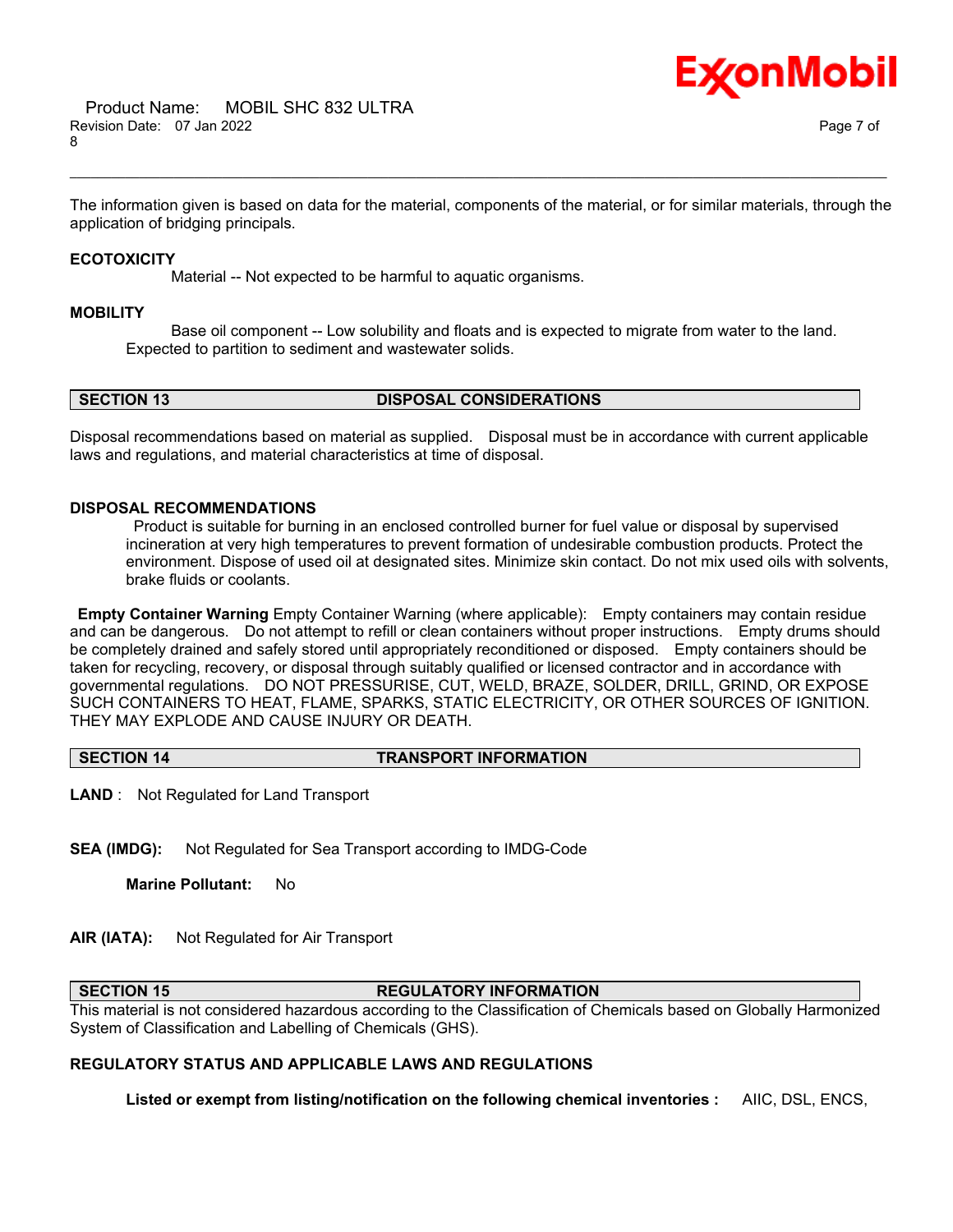

The information given is based on data for the material, components of the material, or for similar materials, through the application of bridging principals.

\_\_\_\_\_\_\_\_\_\_\_\_\_\_\_\_\_\_\_\_\_\_\_\_\_\_\_\_\_\_\_\_\_\_\_\_\_\_\_\_\_\_\_\_\_\_\_\_\_\_\_\_\_\_\_\_\_\_\_\_\_\_\_\_\_\_\_\_\_\_\_\_\_\_\_\_\_\_\_\_\_\_\_\_\_\_\_\_\_\_\_\_\_\_\_\_\_\_\_\_\_\_\_\_\_\_\_\_\_\_\_\_\_\_\_\_\_\_

#### **ECOTOXICITY**

Material -- Not expected to be harmful to aquatic organisms.

#### **MOBILITY**

 Base oil component -- Low solubility and floats and is expected to migrate from water to the land. Expected to partition to sediment and wastewater solids.

**SECTION 13 DISPOSAL CONSIDERATIONS**

Disposal recommendations based on material as supplied. Disposal must be in accordance with current applicable laws and regulations, and material characteristics at time of disposal.

### **DISPOSAL RECOMMENDATIONS**

Product is suitable for burning in an enclosed controlled burner for fuel value or disposal by supervised incineration at very high temperatures to prevent formation of undesirable combustion products. Protect the environment. Dispose of used oil at designated sites. Minimize skin contact. Do not mix used oils with solvents, brake fluids or coolants.

**Empty Container Warning** Empty Container Warning (where applicable): Empty containers may contain residue and can be dangerous. Do not attempt to refill or clean containers without proper instructions. Empty drums should be completely drained and safely stored until appropriately reconditioned or disposed. Empty containers should be taken for recycling, recovery, or disposal through suitably qualified or licensed contractor and in accordance with governmental regulations. DO NOT PRESSURISE, CUT, WELD, BRAZE, SOLDER, DRILL, GRIND, OR EXPOSE SUCH CONTAINERS TO HEAT, FLAME, SPARKS, STATIC ELECTRICITY, OR OTHER SOURCES OF IGNITION. THEY MAY EXPLODE AND CAUSE INJURY OR DEATH.

#### **SECTION 14 TRANSPORT INFORMATION**

**LAND** : Not Regulated for Land Transport

**SEA (IMDG):** Not Regulated for Sea Transport according to IMDG-Code

**Marine Pollutant:** No

**AIR (IATA):** Not Regulated for Air Transport

#### **SECTION 15 REGULATORY INFORMATION**

This material is not considered hazardous according to the Classification of Chemicals based on Globally Harmonized System of Classification and Labelling of Chemicals (GHS).

#### **REGULATORY STATUS AND APPLICABLE LAWS AND REGULATIONS**

**Listed or exempt from listing/notification on the following chemical inventories :** AIIC, DSL, ENCS,